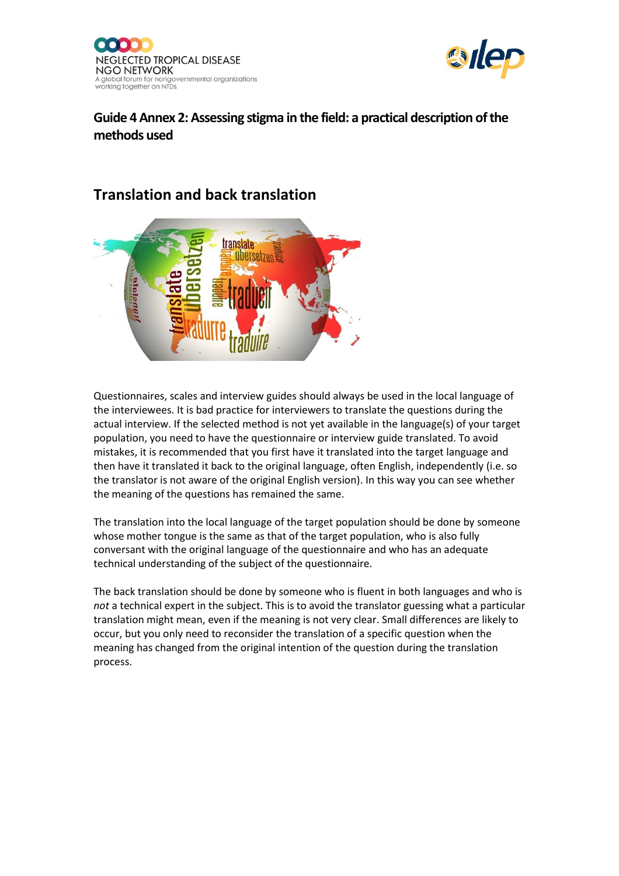



#### **Guide 4 Annex 2: Assessing stigma in the field: a practical description of the methods used**

#### **Translation and back translation**



Questionnaires, scales and interview guides should always be used in the local language of the interviewees. It is bad practice for interviewers to translate the questions during the actual interview. If the selected method is not yet available in the language(s) of your target population, you need to have the questionnaire or interview guide translated. To avoid mistakes, it is recommended that you first have it translated into the target language and then have it translated it back to the original language, often English, independently (i.e. so the translator is not aware of the original English version). In this way you can see whether the meaning of the questions has remained the same.

The translation into the local language of the target population should be done by someone whose mother tongue is the same as that of the target population, who is also fully conversant with the original language of the questionnaire and who has an adequate technical understanding of the subject of the questionnaire.

The back translation should be done by someone who is fluent in both languages and who is *not* a technical expert in the subject. This is to avoid the translator guessing what a particular translation might mean, even if the meaning is not very clear. Small differences are likely to occur, but you only need to reconsider the translation of a specific question when the meaning has changed from the original intention of the question during the translation process.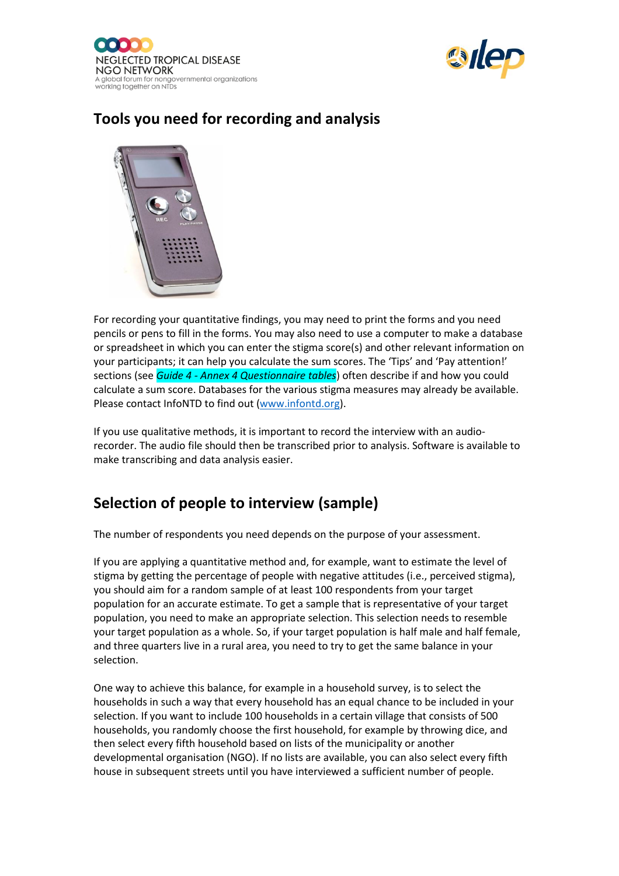



# **Tools you need for recording and analysis**



For recording your quantitative findings, you may need to print the forms and you need pencils or pens to fill in the forms. You may also need to use a computer to make a database or spreadsheet in which you can enter the stigma score(s) and other relevant information on your participants; it can help you calculate the sum scores. The 'Tips' and 'Pay attention!' sections (see *Guide 4 - Annex 4 Questionnaire tables*) often describe if and how you could calculate a sum score. Databases for the various stigma measures may already be available. Please contact InfoNTD to find out [\(www.infontd.org\)](http://www.infontd.org/).

If you use qualitative methods, it is important to record the interview with an audiorecorder. The audio file should then be transcribed prior to analysis. Software is available to make transcribing and data analysis easier.

#### **Selection of people to interview (sample)**

The number of respondents you need depends on the purpose of your assessment.

If you are applying a quantitative method and, for example, want to estimate the level of stigma by getting the percentage of people with negative attitudes (i.e., perceived stigma), you should aim for a random sample of at least 100 respondents from your target population for an accurate estimate. To get a sample that is representative of your target population, you need to make an appropriate selection. This selection needs to resemble your target population as a whole. So, if your target population is half male and half female, and three quarters live in a rural area, you need to try to get the same balance in your selection.

One way to achieve this balance, for example in a household survey, is to select the households in such a way that every household has an equal chance to be included in your selection. If you want to include 100 households in a certain village that consists of 500 households, you randomly choose the first household, for example by throwing dice, and then select every fifth household based on lists of the municipality or another developmental organisation (NGO). If no lists are available, you can also select every fifth house in subsequent streets until you have interviewed a sufficient number of people.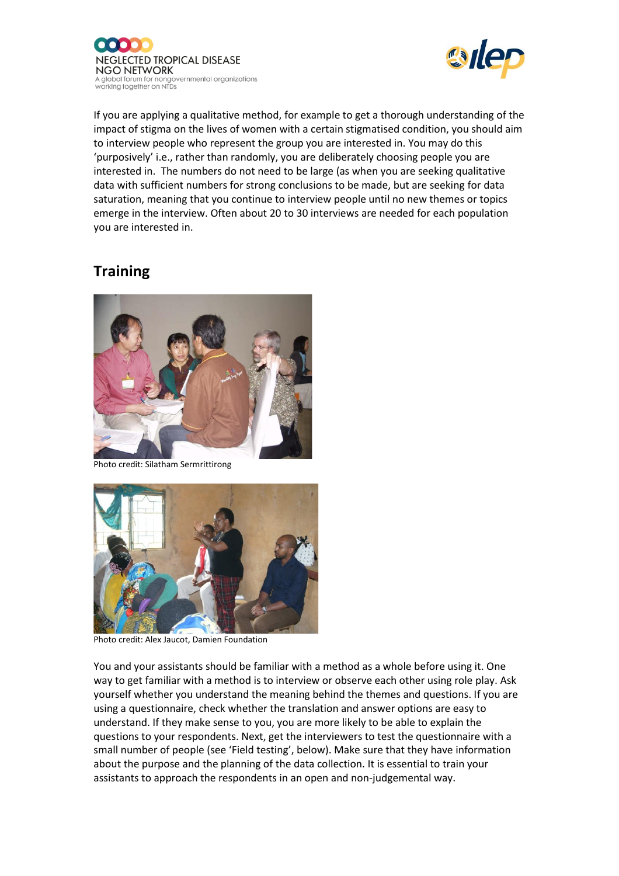



If you are applying a qualitative method, for example to get a thorough understanding of the impact of stigma on the lives of women with a certain stigmatised condition, you should aim to interview people who represent the group you are interested in. You may do this 'purposively' i.e., rather than randomly, you are deliberately choosing people you are interested in. The numbers do not need to be large (as when you are seeking qualitative data with sufficient numbers for strong conclusions to be made, but are seeking for data saturation, meaning that you continue to interview people until no new themes or topics emerge in the interview. Often about 20 to 30 interviews are needed for each population you are interested in.

### **Training**



Photo credit: Silatham Sermrittirong



Photo credit: Alex Jaucot, Damien Foundation

You and your assistants should be familiar with a method as a whole before using it. One way to get familiar with a method is to interview or observe each other using role play. Ask yourself whether you understand the meaning behind the themes and questions. If you are using a questionnaire, check whether the translation and answer options are easy to understand. If they make sense to you, you are more likely to be able to explain the questions to your respondents. Next, get the interviewers to test the questionnaire with a small number of people (see 'Field testing', below). Make sure that they have information about the purpose and the planning of the data collection. It is essential to train your assistants to approach the respondents in an open and non-judgemental way.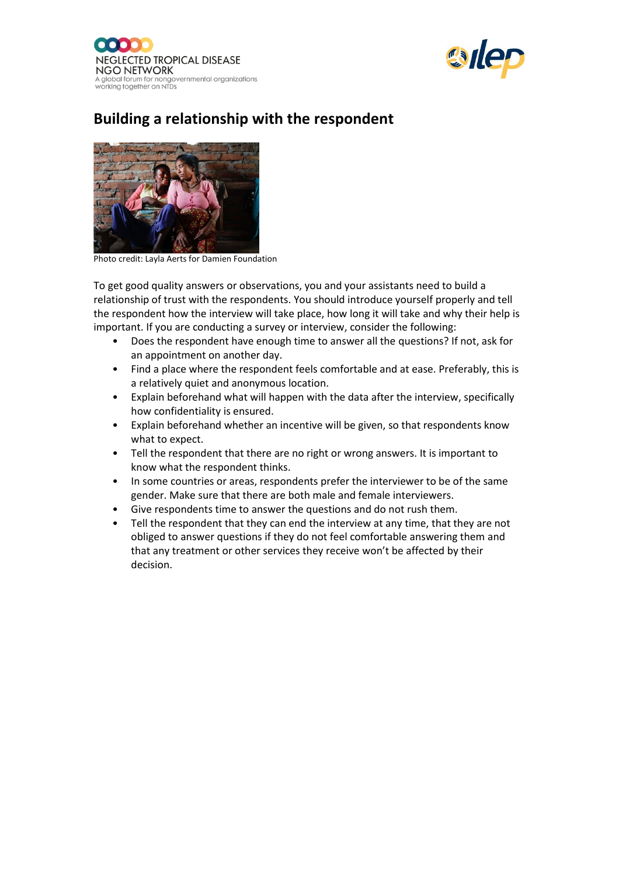



# **Building a relationship with the respondent**



Photo credit: Layla Aerts for Damien Foundation

To get good quality answers or observations, you and your assistants need to build a relationship of trust with the respondents. You should introduce yourself properly and tell the respondent how the interview will take place, how long it will take and why their help is important. If you are conducting a survey or interview, consider the following:

- Does the respondent have enough time to answer all the questions? If not, ask for an appointment on another day.
- Find a place where the respondent feels comfortable and at ease. Preferably, this is a relatively quiet and anonymous location.
- Explain beforehand what will happen with the data after the interview, specifically how confidentiality is ensured.
- Explain beforehand whether an incentive will be given, so that respondents know what to expect.
- Tell the respondent that there are no right or wrong answers. It is important to know what the respondent thinks.
- In some countries or areas, respondents prefer the interviewer to be of the same gender. Make sure that there are both male and female interviewers.
- Give respondents time to answer the questions and do not rush them.
- Tell the respondent that they can end the interview at any time, that they are not obliged to answer questions if they do not feel comfortable answering them and that any treatment or other services they receive won't be affected by their decision.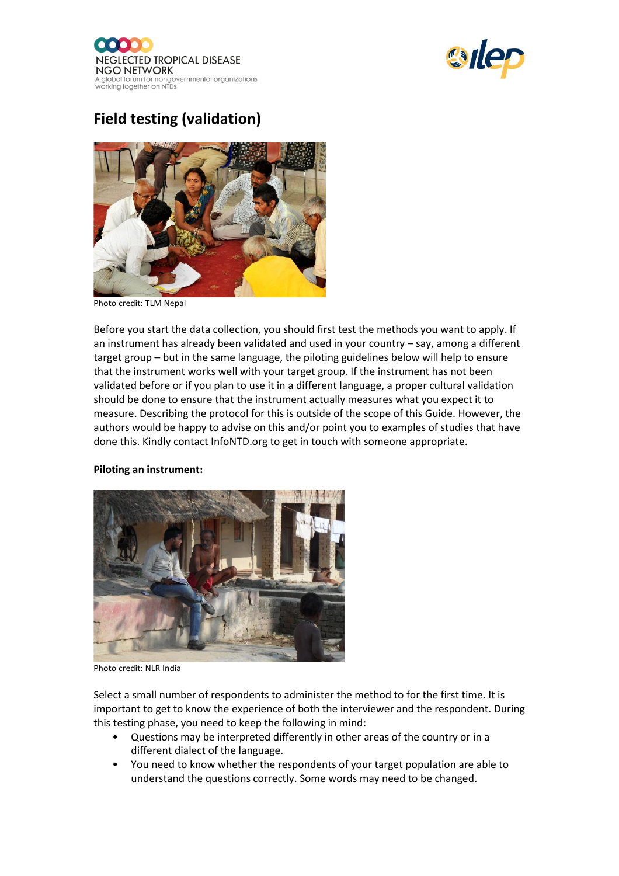



# **Field testing (validation)**



Photo credit: TLM Nepal

Before you start the data collection, you should first test the methods you want to apply. If an instrument has already been validated and used in your country – say, among a different target group – but in the same language, the piloting guidelines below will help to ensure that the instrument works well with your target group. If the instrument has not been validated before or if you plan to use it in a different language, a proper cultural validation should be done to ensure that the instrument actually measures what you expect it to measure. Describing the protocol for this is outside of the scope of this Guide. However, the authors would be happy to advise on this and/or point you to examples of studies that have done this. Kindly contact InfoNTD.org to get in touch with someone appropriate.

#### **Piloting an instrument:**



Photo credit: NLR India

Select a small number of respondents to administer the method to for the first time. It is important to get to know the experience of both the interviewer and the respondent. During this testing phase, you need to keep the following in mind:

- Questions may be interpreted differently in other areas of the country or in a different dialect of the language.
- You need to know whether the respondents of your target population are able to understand the questions correctly. Some words may need to be changed.